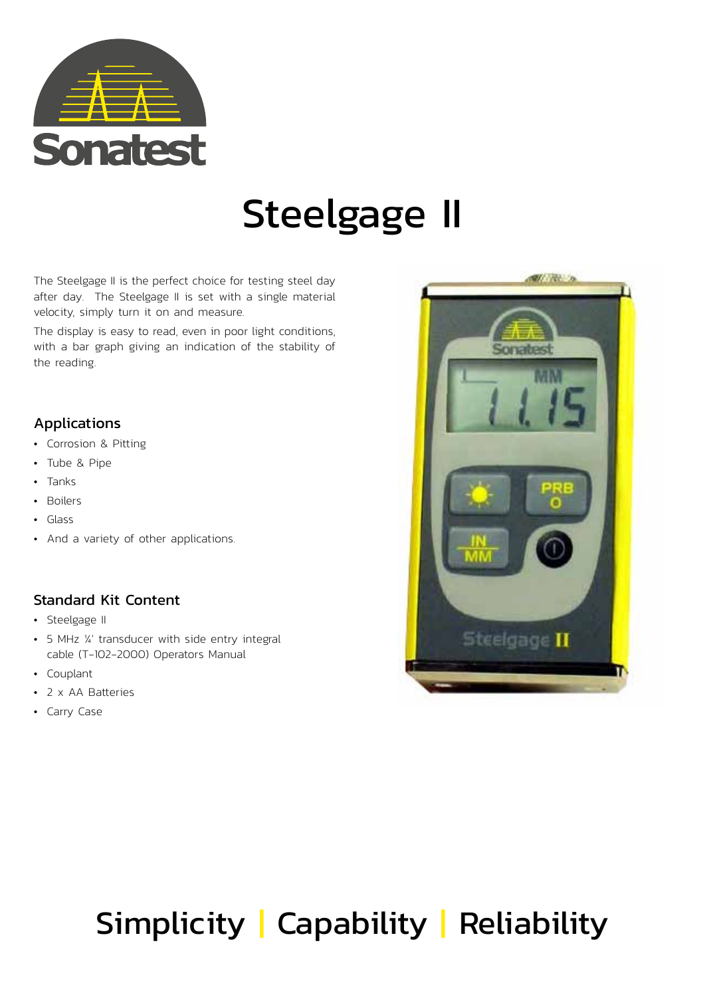

# Steelgage II

The Steelgage II is the perfect choice for testing steel day after day. The Steelgage II is set with a single material velocity, simply turn it on and measure.

The display is easy to read, even in poor light conditions, with a bar graph giving an indication of the stability of the reading.

### Applications

- Corrosion & Pitting
- Tube & Pipe
- Tanks
- Boilers
- Glass
- And a variety of other applications.

### Standard Kit Content

- Steelgage II
- 5 MHz ¼' transducer with side entry integral cable (T-102-2000) Operators Manual
- Couplant
- 2 x AA Batteries
- Carry Case



## Simplicity | Capability | Reliability